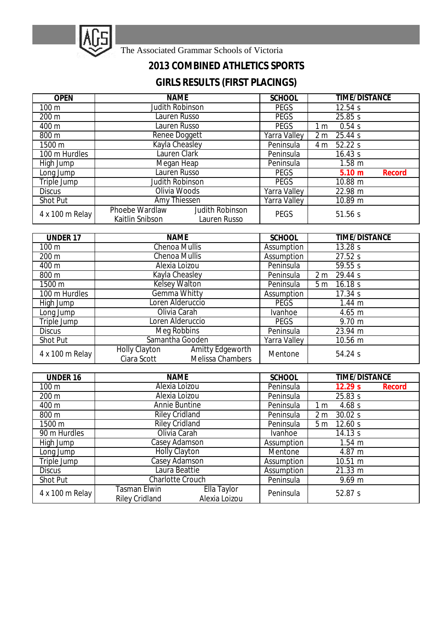

The Associated Grammar Schools of Victoria

## **2013 COMBINED ATHLETICS SPORTS**

## **GIRLS RESULTS (FIRST PLACINGS)**

| <b>OPEN</b>     | <b>NAME</b>                                                                 | <b>SCHOOL</b>       | <b>TIME/DISTANCE</b>      |  |
|-----------------|-----------------------------------------------------------------------------|---------------------|---------------------------|--|
| $100 \text{ m}$ | <b>Judith Robinson</b>                                                      | <b>PEGS</b>         | 12.54 s                   |  |
| 200 m           | Lauren Russo<br><b>PEGS</b>                                                 |                     | 25.85 s                   |  |
| 400 m           | Lauren Russo                                                                | <b>PEGS</b>         | 0.54s<br>1 m              |  |
| 800 m           | Renee Doggett                                                               | <b>Yarra Valley</b> | 25.44 s<br>2 <sub>m</sub> |  |
| 1500 m          | <b>Kayla Cheasley</b>                                                       | Peninsula           | 52.22 s<br>4 m            |  |
| 100 m Hurdles   | Lauren Clark                                                                | Peninsula           | 16.43 s                   |  |
| High Jump       | Megan Heap                                                                  | Peninsula           | $1.58$ m                  |  |
| Long Jump       | Lauren Russo                                                                | <b>PEGS</b>         | 5.10 m<br><b>Record</b>   |  |
| Triple Jump     | <b>Judith Robinson</b>                                                      | <b>PEGS</b>         | 10.88 m                   |  |
| <b>Discus</b>   | Olivia Woods                                                                | <b>Yarra Valley</b> | 22.98 m                   |  |
| <b>Shot Put</b> | Amy Thiessen                                                                | <b>Yarra Valley</b> | 10.89 m                   |  |
| 4 x 100 m Relay | <b>Phoebe Wardlaw</b><br>Judith Robinson<br>Kaitlin Snibson<br>Lauren Russo | <b>PEGS</b>         | 51.56 s                   |  |

| <b>UNDER 17</b> | <b>NAME</b>                                                                               | <b>SCHOOL</b>  | <b>TIME/DISTANCE</b>      |
|-----------------|-------------------------------------------------------------------------------------------|----------------|---------------------------|
| 100 m           | <b>Chenoa Mullis</b><br>Assumption                                                        |                | 13.28 s                   |
| 200 m           | <b>Chenoa Mullis</b>                                                                      | Assumption     | 27.52 s                   |
| 400 m           | Alexia Loizou                                                                             | Peninsula      | 59.55 s                   |
| 800 m           | Kayla Cheasley                                                                            | Peninsula      | 29.44 s<br>2 <sub>m</sub> |
| 1500 m          | <b>Kelsey Walton</b>                                                                      | Peninsula      | 16.18 s<br>5 <sub>m</sub> |
| 100 m Hurdles   | <b>Gemma Whitty</b>                                                                       | Assumption     | 17.34 s                   |
| High Jump       | Loren Alderuccio                                                                          | <b>PEGS</b>    | $1.44 \; m$               |
| Long Jump       | Olivia Carah                                                                              | <b>Ivanhoe</b> | 4.65 m                    |
| Triple Jump     | Loren Alderuccio                                                                          | <b>PEGS</b>    | $9.70 \text{ m}$          |
| <b>Discus</b>   | Meg Robbins                                                                               | Peninsula      | 23.94 m                   |
| <b>Shot Put</b> | Samantha Gooden                                                                           | Yarra Valley   | 10.56 m                   |
| 4 x 100 m Relay | <b>Amitty Edgeworth</b><br><b>Holly Clayton</b><br>Ciara Scott<br><b>Melissa Chambers</b> | Mentone        | 54.24 s                   |

| <b>UNDER 16</b>  | <b>NAME</b>                                                           | <b>SCHOOL</b>  | <b>TIME/DISTANCE</b>      |  |
|------------------|-----------------------------------------------------------------------|----------------|---------------------------|--|
| 100 <sub>m</sub> | Alexia Loizou                                                         | Peninsula      | 12.29 s<br>Record         |  |
| 200 m            | Alexia Loizou                                                         | Peninsula      | 25.83 s                   |  |
| 400 m            | <b>Annie Buntine</b><br>Peninsula                                     |                | 4.68s<br>1 m              |  |
| 800 m            | <b>Riley Cridland</b>                                                 | Peninsula      | 2 <sub>m</sub><br>30.02 s |  |
| 1500 m           | <b>Riley Cridland</b>                                                 | Peninsula      | 5 <sub>m</sub><br>12.60 s |  |
| 90 m Hurdles     | Olivia Carah                                                          | <b>Ivanhoe</b> | 14.13 s                   |  |
| High Jump        | Casey Adamson                                                         | Assumption     | $1.54 \; m$               |  |
| Long Jump        | <b>Holly Clayton</b>                                                  | Mentone        | 4.87 m                    |  |
| Triple Jump      | Casey Adamson                                                         | Assumption     | 10.51 m                   |  |
| <b>Discus</b>    | Laura Beattie                                                         | Assumption     | 21.33 m                   |  |
| <b>Shot Put</b>  | <b>Charlotte Crouch</b>                                               | Peninsula      | $9.69 \text{ m}$          |  |
| 4 x 100 m Relay  | Ella Taylor<br>Tasman Elwin<br>Alexia Loizou<br><b>Riley Cridland</b> | Peninsula      | 52.87 s                   |  |